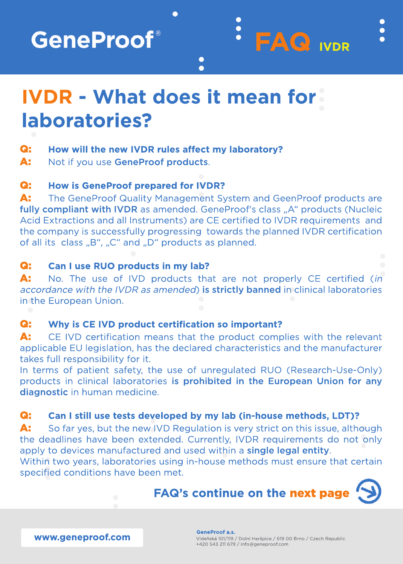**GeneProof**®

# **IVDR - What does it mean for?** laboratories?

#### Q: How will the new IVDR rules affect my laboratory?

A: Not if you use GeneProof products.

#### Q: **How is GeneProof prepared for IVDR?**

A: The GeneProof Quality Management System and GeenProof products are fully compliant with IVDR as amended. GeneProof's class "A" products (Nucleic Acid Extractions and all Instruments) are CE certified to IVDR requirements and the company is successfully progressing towards the planned IVDR certification of all its class "B", "C" and "D" products as planned.

 $\bullet$  $\bullet$ 

 $E(\mathbf{Q})$  iver

#### Q: Can I use RUO products in my lab?

A: No. The use of IVD products that are not properly CE certified (in accordance with the IVDR as amended) is strictly banned in clinical laboratories in the European Union.

#### Q: Why is CE IVD product certification so important?

A: CE IVD certification means that the product complies with the relevant applicable EU legislation, has the declared characteristics and the manufacturer takes full responsibility for it.

In terms of patient safety, the use of unregulated RUO (Research-Use-Only) products in clinical laboratories is prohibited in the European Union for any diagnostic in human medicine.

#### Q: Can I still use tests developed by my lab (in-house methods, LDT)?

A: So far yes, but the new IVD Regulation is very strict on this issue, although the deadlines have been extended. Currently, IVDR requirements do not only apply to devices manufactured and used within a single legal entity. Within two years, laboratories using in-house methods must ensure that certain



www.geneproof.com

specified conditions have been met.

**GeneProof a.s.** Vídeňská 101/119 / Dolní Heršpice / 619 00 Brno / Czech Republic +420 543 211 679 / info@geneproof.com